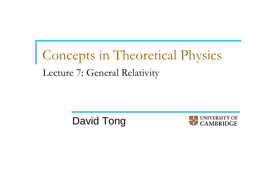# Concepts in Theoretical Physics Lecture 7: General Relativity

David Tong

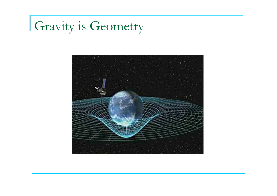# Gravity is Geometry

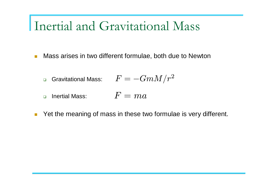■ Mass arises in two different formulae, both due to Newton

$$
\hbox{\texttt{~G}~}\text{Gravitational Mass:~}\quad \ \ F=-GmM/r^2
$$

- $\Box$  $\Box$  Inertial Mass:  $\quad \quad F=m a$
- $\mathcal{L}^{\mathcal{L}}$ Yet the meaning of mass in these two formulae is very different.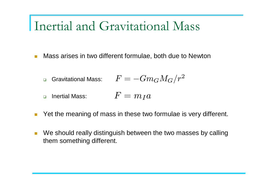- $\mathcal{L}_{\mathcal{A}}$  Mass arises in two different formulae, both due to Newton
	- $\Box$ □ Gravitational Mass:  $\quad \, F=-Gm_GM_G/r^2$
	- $\Box$  $\Box$  Inertial Mass:  $\quad \quad F=m_Ia$
- $\mathcal{C}^{\mathcal{A}}$ Yet the meaning of mass in these two formulae is very different.
- $\mathcal{C}^{\mathcal{A}}$  We should really distinguish between the two masses by calling them something different.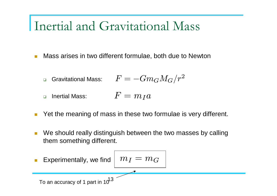$\mathcal{L}_{\mathcal{A}}$ Mass arises in two different formulae, both due to Newton

$$
\hbox{\texttt{~G}~}\text{Gravitational Mass:} \qquad F = -G m_G M_G / r^2
$$

- $\Box$  Inertial Mass:  $F=m_Ia$
- $\mathcal{C}^{\mathcal{A}}$ Yet the meaning of mass in these two formulae is very different.
- $\mathcal{C}^{\mathcal{A}}$  We should really distinguish between the two masses by calling them something different.

| Experimentally, we find                      | $m_I = m_G$ |
|----------------------------------------------|-------------|
| To an accuracy of 1 part in 10 <sup>13</sup> |             |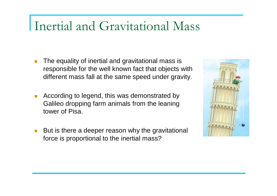- × The equality of inertial and gravitational mass is responsible for the well known fact that objects with different mass fall at the same speed under gravity.
- $\mathcal{C}^{\mathcal{A}}$  According to legend, this was demonstrated by Galileo dropping farm animals from the leaning tower of Pisa.
- $\mathcal{C}^{\mathcal{A}}$  But is there a deeper reason why the gravitational force is proportional to the inertial mass?

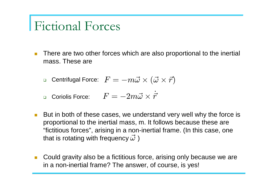### Fictional Forces

- $\mathcal{C}^{\mathcal{A}}$  There are two other forces which are also proportional to the inertial mass. These are
	- □ Centrifugal Force:  $\;F=-m\vec{\omega}\times(\vec{\omega}\times\vec{r})\;$
	- □ Coriolis Force:  $F=-2m\vec{\omega}\times$  $\times \dot{\vec{r}}$
- $\mathcal{L}^{\text{max}}_{\text{max}}$  But in both of these cases, we understand very well why the force is proportional to the inertial mass, m. It follows because these are "fictitious forces", arising in a non-inertial frame. (In this case, one that is rotating with frequency  $\vec{\omega}$  ).
- $\mathcal{L}^{\mathcal{L}}$  Could gravity also be a fictitious force, arising only because we are in a non-inertial frame? The answer, of course, is yes!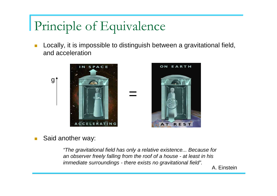# Principle of Equivalence

 $\mathbb{R}^3$  Locally, it is impossible to distinguish between a gravitational field, and acceleration



 $\mathcal{C}^{\mathcal{A}}$ Said another way:

> "The gravitational field has only a relative existence... Because for an observer freely falling from the roof of a house - at least in his immediate surroundings - there exists no gravitational field".

A. Einstein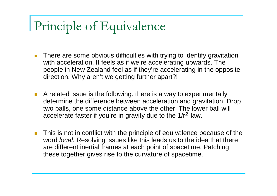## Principle of Equivalence

- $\sim$  There are some obvious difficulties with trying to identify gravitation with acceleration. It feels as if we're accelerating upwards. The people in New Zealand feel as if they're accelerating in the opposite direction. Why aren't we getting further apart?!
- A related issue is the following: there is a way to experimentally determine the difference between acceleration and gravitation. Drop two balls, one some distance above the other. The lower ball will accelerate faster if you're in gravity due to the 1/r<sup>2</sup> law.
- $\mathbb{R}^2$  This is not in conflict with the principle of equivalence because of the word *local*. Resolving issues like this leads us to the idea that there are different inertial frames at each point of spacetime. Patching these together gives rise to the curvature of spacetime.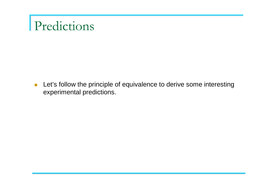# Predictions

**Let's follow the principle of equivalence to derive some interesting** experimental predictions.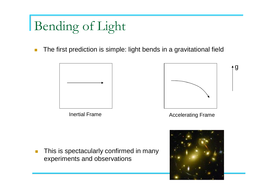# Bending of Light

 $\mathcal{C}^{\mathcal{A}}$ 

 $\mathcal{C}^{\mathcal{A}}$ The first prediction is simple: light bends in a gravitational field

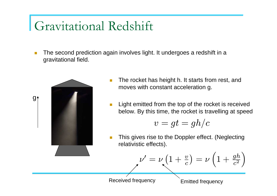# Gravitational Redshift

П The second prediction again involves light. It undergoes a redshift in a gravitational field.



- L. The rocket has height h. It starts from rest, and moves with constant acceleration g.
- L. Light emitted from the top of the rocket is received below. By this time, the rocket is travelling at speed

$$
v=gt=gh/c
$$

M. This gives rise to the Doppler effect. (Neglecting relativistic effects).

$$
\nu'=\nu\left(1+\tfrac{v}{c}\right)=\nu\left(1+\tfrac{gh}{c^2}\right)
$$

Received frequency

Emitted frequency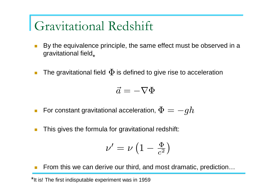# Gravitational Redshift

- $\mathcal{C}^{\mathcal{A}}$  By the equivalence principle, the same effect must be observed in a gravitational field $_{\star}$
- $\mathcal{L}_{\mathcal{A}}$ ■ The gravitational field  $\Phi$  is defined to give rise to acceleration

 $\vec{a}=$  $=-\nabla\Phi$ 

- $\mathcal{L}_{\mathcal{A}}$ ■ For constant gravitational acceleration,  $\Phi = -gh$
- $\mathcal{L}_{\mathcal{A}}$ This gives the formula for gravitational redshift:

$$
\nu'=\nu\left(1-\tfrac{\Phi}{c^2}\right)
$$

T. From this we can derive our third, and most dramatic, prediction…

\*It is! The first indisputable experiment was in 1959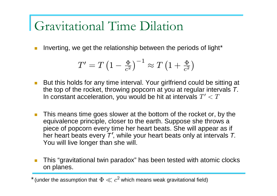# Gravitational Time Dilation

× **Inverting, we get the relationship between the periods of light\*** 

$$
T' = T \left(1 - \frac{\Phi}{c^2}\right)^{-1} \approx T \left(1 + \frac{\Phi}{c^2}\right)
$$

- $\mathcal{L}^{\mathcal{A}}$  But this holds for any time interval. Your girlfriend could be sitting at the top of the rocket, throwing popcorn at you at regular intervals  $\mathcal{T} .$ In constant acceleration, you would be hit at intervals  $T^{\prime} < T$
- $\mathcal{L}_{\mathcal{A}}$  This means time goes slower at the bottom of the rocket or, by the equivalence principle, closer to the earth. Suppose she throws a piece of popcorn every time her heart beats. She will appear as if her heart beats every  $\mathcal{T}^{\prime}$ , while your heart beats only at intervals  $\mathcal{T}_{\cdot}$ You will live longer than she will.
- $\mathcal{C}^{\mathcal{A}}$  This "gravitational twin paradox" has been tested with atomic clocks on planes.

 $^*$  (under the assumption that  $\, \Phi \ll c^2$  which means weak gravitational field)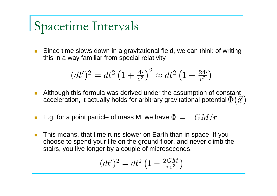# Spacetime Intervals

 $\mathcal{L}^{\text{max}}_{\text{max}}$  Since time slows down in a gravitational field, we can think of writing this in a way familiar from special relativity

$$
(dt')^2 = dt^2 \left(1 + \frac{\Phi}{c^2}\right)^2 \approx dt^2 \left(1 + \frac{2\Phi}{c^2}\right)
$$

- $\mathcal{L}^{\mathcal{A}}$  Although this formula was derived under the assumption of constant acceleration, it actually holds for arbitrary gravitational potential  $\Phi(\vec{x})$
- $\mathcal{C}^{\mathcal{A}}$ ■ E.g. for a point particle of mass M, we have  $\Phi=-GM/r$
- $\mathcal{C}^{\mathcal{A}}$  This means, that time runs slower on Earth than in space. If you choose to spend your life on the ground floor, and never climb the stairs, you live longer by a couple of microseconds.

$$
(dt')^2 = dt^2 \left(1 - \frac{2GM}{rc^2}\right)
$$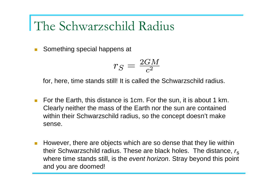### The Schwarzschild Radius

 $\sim$ Something special happens at

$$
r_S = \tfrac{2GM}{c^2}
$$

for, here, time stands still! It is called the Schwarzschild radius.

- For the Earth, this distance is 1cm. For the sun, it is about 1 km. Clearly neither the mass of the Earth nor the sun are contained within their Schwarzschild radius, so the concept doesn't make sense.
- $\mathbb{R}^2$  However, there are objects which are so dense that they lie within their Schwarzschild radius. These are black holes. The distance,  $r_{\rm s}$ where time stands still, is the event horizon. Stray beyond this point and you are doomed!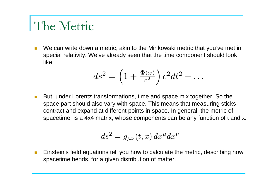### The Metric

 $\overline{\mathbb{R}^n}$  We can write down a metric, akin to the Minkowski metric that you've met in special relativity. We've already seen that the time component should look like:

$$
ds^2 = \left(1 + \frac{\Phi(x)}{c^2}\right)c^2dt^2 + \dots
$$

 $\mathcal{O}(\mathcal{A})$  But, under Lorentz transformations, time and space mix together. So the space part should also vary with space. This means that measuring sticks contract and expand at different points in space. In general, the metric of spacetime is a 4x4 matrix, whose components can be any function of t and x.

$$
ds^2 = g_{\mu\nu}(t, x) dx^{\mu} dx^{\nu}
$$

 $\mathcal{L}^{\text{eff}}$  Einstein's field equations tell you how to calculate the metric, describing how spacetime bends, for a given distribution of matter.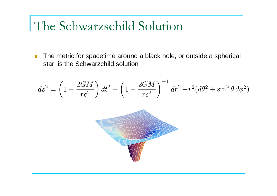# The Schwarzschild Solution

 $\mathcal{L}_{\mathcal{A}}$  The metric for spacetime around a black hole, or outside a spherical star, is the Schwarzchild solution

$$
ds^2 = \left(1 - \frac{2GM}{rc^2}\right)dt^2 - \left(1 - \frac{2GM}{rc^2}\right)^{-1}dr^2 - r^2(d\theta^2 + \sin^2\theta\, d\phi^2)
$$

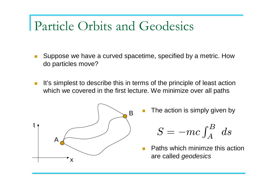#### Particle Orbits and Geodesics

- $\mathcal{L}$  Suppose we have a curved spacetime, specified by a metric. How do particles move?
- $\mathbb{R}^3$  It's simplest to describe this in terms of the principle of least action which we covered in the first lecture. We minimize over all paths



The action is simply given by

$$
S = -mc \int_A^B ds
$$

 Paths which minimze this action are called geodesics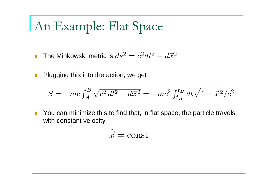# An Example: Flat Space

- $\overline{\mathcal{A}}$  $\blacksquare$  The Minkowski metric is  $ds^2$  $^2=c^2dt^2$  − $-\,d\vec{x}^2$
- $\mathcal{L}$ Plugging this into the action, we get

$$
S = -mc \int_A^B \sqrt{c^2 dt^2 - d\vec{x}^2} = -mc^2 \int_{t_A}^{t_B} dt \sqrt{1 - \dot{\vec{x}}^2/c^2}
$$

 $\mathbb{R}^3$  You can minimize this to find that, in flat space, the particle travels with constant velocity

$$
\dot{\vec{x}} = \text{const}
$$